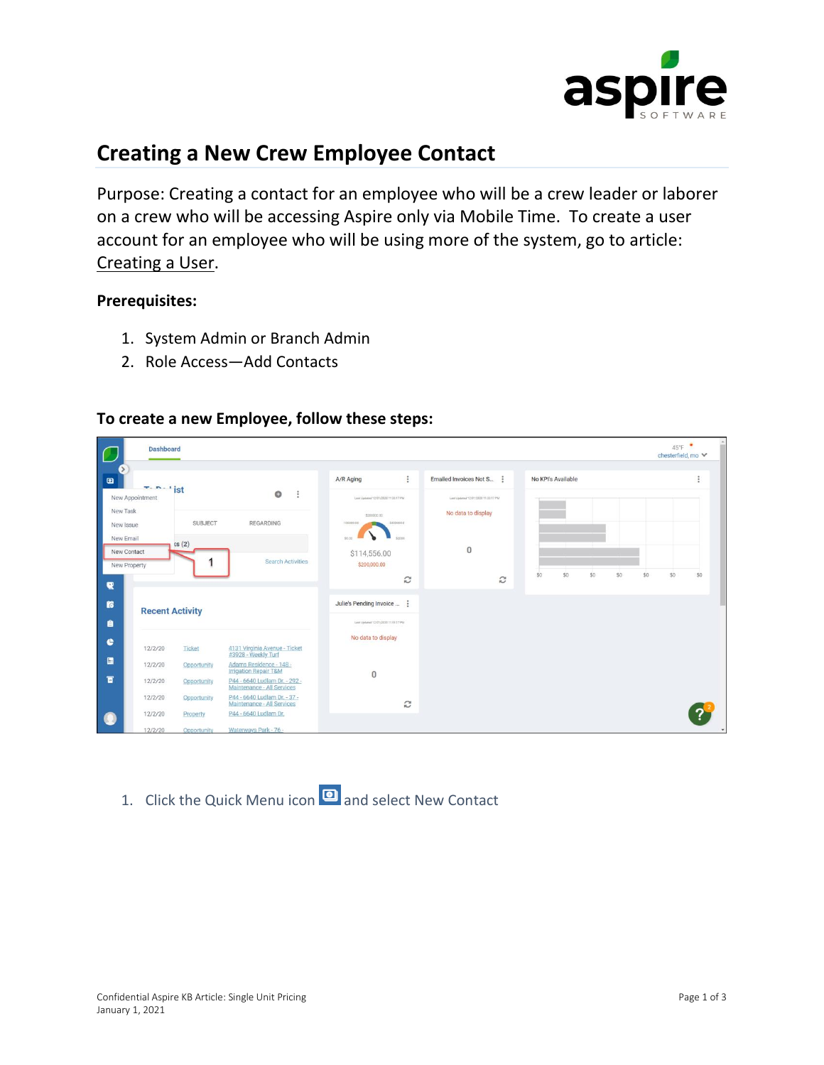

## **Creating a New Crew Employee Contact**

Purpose: Creating a contact for an employee who will be a crew leader or laborer on a crew who will be accessing Aspire only via Mobile Time. To create a user account for an employee who will be using more of the system, go to article: [Creating a User.](https://care.youraspire.com/knowledge-base/how-to-creating-a-user)

## **Prerequisites:**

- 1. System Admin or Branch Admin
- 2. Role Access—Add Contacts



## **To create a new Employee, follow these steps:**

1. Click the Quick Menu icon **a** and select New Contact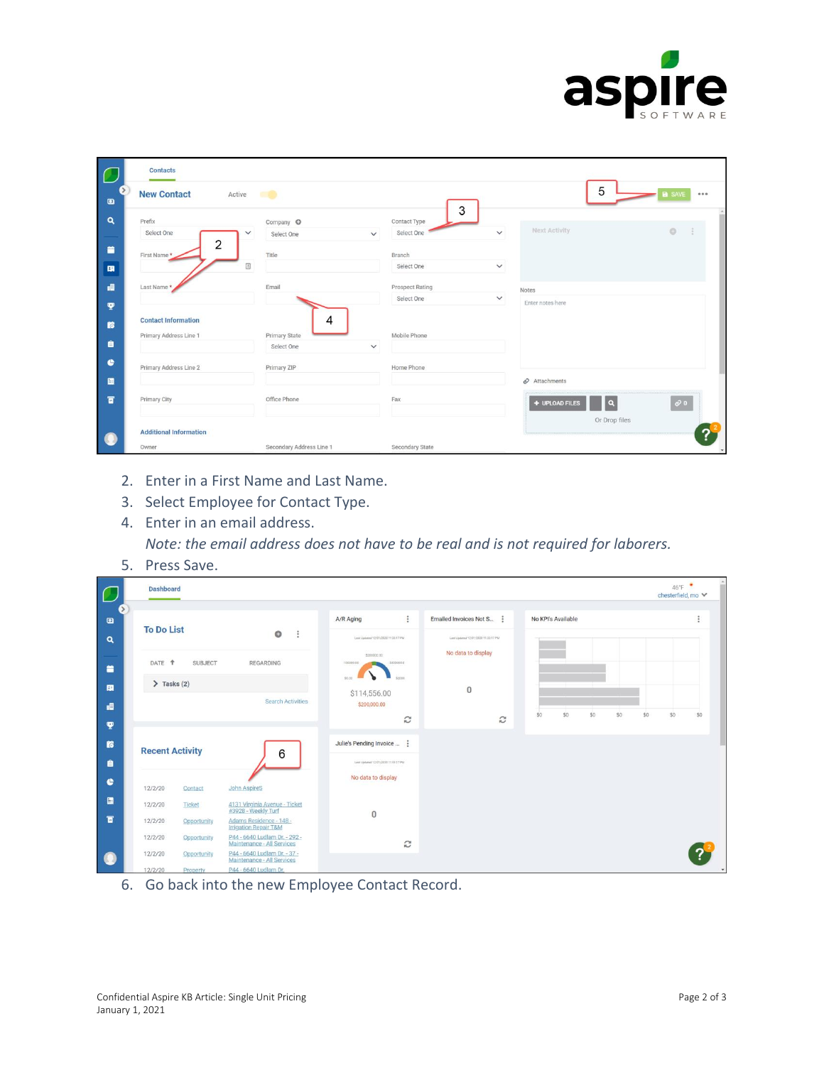

| $\sqrt{2}$                   | <b>Contacts</b>               |                            |                            |              |                                        |                        |
|------------------------------|-------------------------------|----------------------------|----------------------------|--------------|----------------------------------------|------------------------|
| $\qquad \qquad \blacksquare$ | <b>New Contact</b><br>Active  | $\blacksquare$             | 3                          |              | 5                                      | <b>B</b> SAVE<br>000   |
| $\alpha$                     | Prefix                        | Company O                  | Contact Type               |              |                                        |                        |
|                              | Select One                    | $\checkmark$<br>Select One | Select One<br>$\checkmark$ | $\checkmark$ | Next Activity                          | $\circ$                |
| 首                            | 2<br>First Name*              | Title                      | Branch                     |              |                                        |                        |
| 围                            |                               |                            | Select One                 | $\checkmark$ |                                        |                        |
| 唱                            | Last Name*                    | Email                      | Prospect Rating            |              | Notes                                  |                        |
| <b>P</b>                     |                               |                            | Select One                 | $\checkmark$ | Enter notes here                       |                        |
| <b>is</b>                    | <b>Contact Information</b>    | 4                          |                            |              |                                        |                        |
|                              | Primary Address Line 1        | <b>Primary State</b>       | Mobile Phone               |              |                                        |                        |
| 自                            |                               | Select One                 | $\checkmark$               |              |                                        |                        |
| $\bullet$                    | Primary Address Line 2        | Primary ZIP                | Home Phone                 |              |                                        |                        |
| 團                            |                               |                            |                            |              | $\mathcal O$ Attachments               |                        |
| $\blacksquare$               | Primary City                  | Office Phone               | Fax                        |              | $\boxed{\mathbf{q}}$<br>+ UPLOAD FILES | $\ddot{\mathcal{O}}$ 0 |
|                              |                               |                            |                            |              | Or Drop files                          |                        |
| $\bullet$                    | <b>Additional Information</b> |                            |                            |              |                                        | $\overline{?}$         |
|                              | Owner                         | Secondary Address Line 1   | Secondary State            |              |                                        |                        |

- 2. Enter in a First Name and Last Name.
- 3. Select Employee for Contact Type.
- 4. Enter in an email address.

*Note: the email address does not have to be real and is not required for laborers.* 

5. Press Save.

| $\sqrt{2}$                | <b>Dashboard</b>  |                             |                                                             |                                                                                      |                                                           |                          | $46^{\circ}$ F<br>chesterfield, mo ↓ |
|---------------------------|-------------------|-----------------------------|-------------------------------------------------------------|--------------------------------------------------------------------------------------|-----------------------------------------------------------|--------------------------|--------------------------------------|
| $\bullet$                 | <b>To Do List</b> |                             | $\circ$<br>$\ddot{\phantom{0}}$                             | $\ddot{\ddot{\ }}$<br>A/R Aging                                                      | Emailed Invoices Not S                                    | No KPI's Available       |                                      |
| $\alpha$<br>۰             | DATE <sup>+</sup> | <b>SUBJECT</b>              | REGARDING                                                   | Lest Updated 12/01/2020 11:33:17 PM<br>\$200000.00<br>\$300000.0<br>100000.00        | Last Updated 12/01/2020 11:33:17 PM<br>No data to display |                          |                                      |
| 围                         | $\sum$ Tasks (2)  |                             | <b>Search Activities</b>                                    | \$0.00<br>\$4000<br>\$114,556.00<br>\$200,000.00                                     | $\mathbf{0}$                                              |                          |                                      |
| 疅<br>Ÿ                    |                   |                             |                                                             | $\widehat{\omega}$                                                                   | $\boldsymbol{c}$                                          | \$0<br>\$0<br>\$0<br>\$0 | \$0<br>SO<br>\$0                     |
| $\mathbf{r}$<br>$\bullet$ |                   | <b>Recent Activity</b><br>6 |                                                             | Julie's Pending Invoice<br>Leat Updated 12/01/2020 11:33:17 PM<br>No data to display |                                                           |                          |                                      |
| $\bullet$                 | 12/2/20           | Contact                     | <b>John AspireS</b>                                         |                                                                                      |                                                           |                          |                                      |
| 圓                         | 12/2/20           | Ticket                      | 4131 Virginia Avenue - Ticket<br>#3928 - Weekly Turf        | $\mathbf 0$                                                                          |                                                           |                          |                                      |
| $\blacksquare$            | 12/2/20           | Opportunity                 | Adams Residence - 148 -<br><b>Irrigation Repair T&amp;M</b> |                                                                                      |                                                           |                          |                                      |
|                           | 12/2/20           | Opportunity                 | P44 - 6640 Ludlam Dr. - 292 -<br>Maintenance - All Services | C                                                                                    |                                                           |                          |                                      |
| $\bullet$                 | 12/2/20           | Opportunity                 | P44 - 6640 Ludlam Dr. - 37 -<br>Maintenance - All Services  |                                                                                      |                                                           |                          |                                      |
|                           | 12/2720           | Drangrty                    | DAA - 6640 Ludlam Dr                                        |                                                                                      |                                                           |                          |                                      |

6. Go back into the new Employee Contact Record.